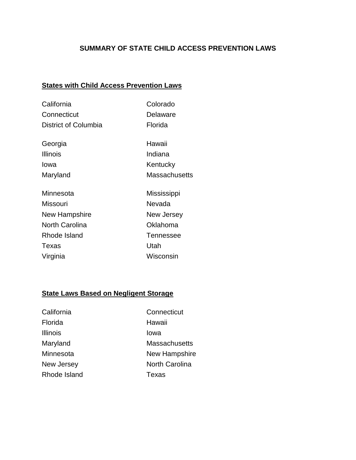## **SUMMARY OF STATE CHILD ACCESS PREVENTION LAWS**

# **States with Child Access Prevention Laws**

| California            | Colorado             |
|-----------------------|----------------------|
| Connecticut           | Delaware             |
| District of Columbia  | Florida              |
| Georgia               | Hawaii               |
| <b>Illinois</b>       | Indiana              |
| Iowa                  | Kentucky             |
| Maryland              | <b>Massachusetts</b> |
| Minnesota             | Mississippi          |
| Missouri              | Nevada               |
| New Hampshire         | New Jersey           |
| <b>North Carolina</b> | Oklahoma             |
| Rhode Island          | <b>Tennessee</b>     |
| Texas                 | Utah                 |
| Virginia              | Wisconsin            |

## **State Laws Based on Negligent Storage**

| California      | Connecticut           |
|-----------------|-----------------------|
| Florida         | Hawaii                |
| <b>Illinois</b> | lowa                  |
| Maryland        | Massachusetts         |
| Minnesota       | New Hampshire         |
| New Jersey      | <b>North Carolina</b> |
| Rhode Island    | Texas                 |
|                 |                       |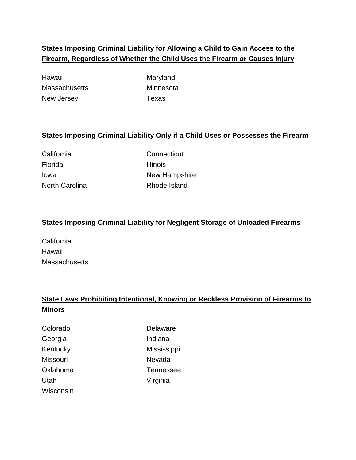# **States Imposing Criminal Liability for Allowing a Child to Gain Access to the Firearm, Regardless of Whether the Child Uses the Firearm or Causes Injury**

Hawaii **Maryland** Maryland Massachusetts Minnesota New Jersey **Texas** 

## **States Imposing Criminal Liability Only if a Child Uses or Possesses the Firearm**

Florida Illinois

California Connecticut Iowa **New Hampshire** North Carolina **Rhode Island** 

#### **States Imposing Criminal Liability for Negligent Storage of Unloaded Firearms**

California Hawaii **Massachusetts** 

# **State Laws Prohibiting Intentional, Knowing or Reckless Provision of Firearms to Minors**

| Colorado  | Delaware    |
|-----------|-------------|
| Georgia   | Indiana     |
| Kentucky  | Mississippi |
| Missouri  | Nevada      |
| Oklahoma  | Tennessee   |
| Utah      | Virginia    |
| Wisconsin |             |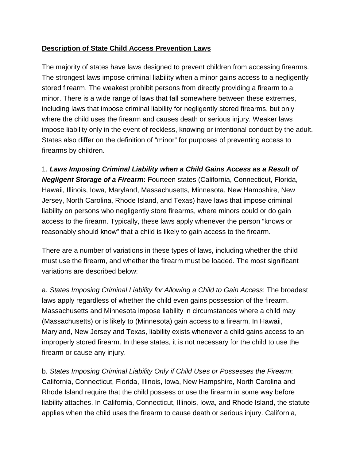#### **Description of State Child Access Prevention Laws**

The majority of states have laws designed to prevent children from accessing firearms. The strongest laws impose criminal liability when a minor gains access to a negligently stored firearm. The weakest prohibit persons from directly providing a firearm to a minor. There is a wide range of laws that fall somewhere between these extremes, including laws that impose criminal liability for negligently stored firearms, but only where the child uses the firearm and causes death or serious injury. Weaker laws impose liability only in the event of reckless, knowing or intentional conduct by the adult. States also differ on the definition of "minor" for purposes of preventing access to firearms by children.

1. *Laws Imposing Criminal Liability when a Child Gains Access as a Result of Negligent Storage of a Firearm***:** Fourteen states (California, Connecticut, Florida, Hawaii, Illinois, Iowa, Maryland, Massachusetts, Minnesota, New Hampshire, New Jersey, North Carolina, Rhode Island, and Texas) have laws that impose criminal liability on persons who negligently store firearms, where minors could or do gain access to the firearm. Typically, these laws apply whenever the person "knows or reasonably should know" that a child is likely to gain access to the firearm.

There are a number of variations in these types of laws, including whether the child must use the firearm, and whether the firearm must be loaded. The most significant variations are described below:

a. *States Imposing Criminal Liability for Allowing a Child to Gain Access*: The broadest laws apply regardless of whether the child even gains possession of the firearm. Massachusetts and Minnesota impose liability in circumstances where a child may (Massachusetts) or is likely to (Minnesota) gain access to a firearm. In Hawaii, Maryland, New Jersey and Texas, liability exists whenever a child gains access to an improperly stored firearm. In these states, it is not necessary for the child to use the firearm or cause any injury.

b. *States Imposing Criminal Liability Only if Child Uses or Possesses the Firearm*: California, Connecticut, Florida, Illinois, Iowa, New Hampshire, North Carolina and Rhode Island require that the child possess or use the firearm in some way before liability attaches. In California, Connecticut, Illinois, Iowa, and Rhode Island, the statute applies when the child uses the firearm to cause death or serious injury. California,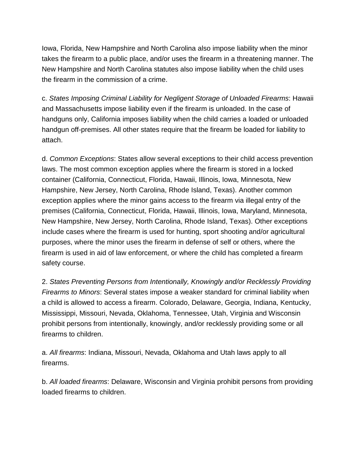Iowa, Florida, New Hampshire and North Carolina also impose liability when the minor takes the firearm to a public place, and/or uses the firearm in a threatening manner. The New Hampshire and North Carolina statutes also impose liability when the child uses the firearm in the commission of a crime.

c. *States Imposing Criminal Liability for Negligent Storage of Unloaded Firearms*: Hawaii and Massachusetts impose liability even if the firearm is unloaded. In the case of handguns only, California imposes liability when the child carries a loaded or unloaded handgun off-premises. All other states require that the firearm be loaded for liability to attach.

d. *Common Exceptions*: States allow several exceptions to their child access prevention laws. The most common exception applies where the firearm is stored in a locked container (California, Connecticut, Florida, Hawaii, Illinois, Iowa, Minnesota, New Hampshire, New Jersey, North Carolina, Rhode Island, Texas). Another common exception applies where the minor gains access to the firearm via illegal entry of the premises (California, Connecticut, Florida, Hawaii, Illinois, Iowa, Maryland, Minnesota, New Hampshire, New Jersey, North Carolina, Rhode Island, Texas). Other exceptions include cases where the firearm is used for hunting, sport shooting and/or agricultural purposes, where the minor uses the firearm in defense of self or others, where the firearm is used in aid of law enforcement, or where the child has completed a firearm safety course.

2. *States Preventing Persons from Intentionally, Knowingly and/or Recklessly Providing Firearms to Minors*: Several states impose a weaker standard for criminal liability when a child is allowed to access a firearm. Colorado, Delaware, Georgia, Indiana, Kentucky, Mississippi, Missouri, Nevada, Oklahoma, Tennessee, Utah, Virginia and Wisconsin prohibit persons from intentionally, knowingly, and/or recklessly providing some or all firearms to children.

a. *All firearms*: Indiana, Missouri, Nevada, Oklahoma and Utah laws apply to all firearms.

b. *All loaded firearms*: Delaware, Wisconsin and Virginia prohibit persons from providing loaded firearms to children.